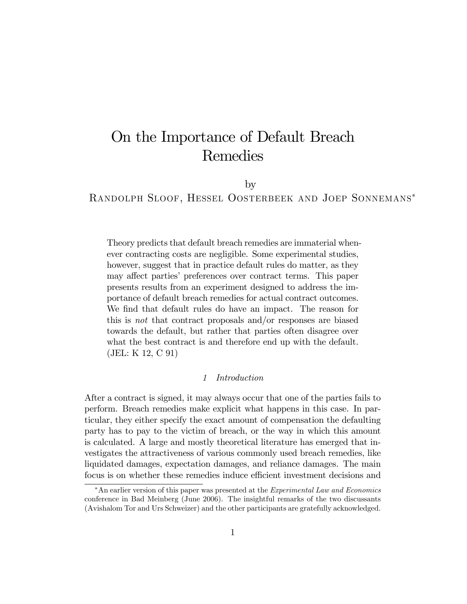# On the Importance of Default Breach Remedies

by

Randolph Sloof, Hessel Oosterbeek and Joep Sonnemans

Theory predicts that default breach remedies are immaterial whenever contracting costs are negligible. Some experimental studies, however, suggest that in practice default rules do matter, as they may affect parties' preferences over contract terms. This paper presents results from an experiment designed to address the importance of default breach remedies for actual contract outcomes. We find that default rules do have an impact. The reason for this is not that contract proposals and/or responses are biased towards the default, but rather that parties often disagree over what the best contract is and therefore end up with the default. (JEL: K 12, C 91)

# 1 Introduction

After a contract is signed, it may always occur that one of the parties fails to perform. Breach remedies make explicit what happens in this case. In particular, they either specify the exact amount of compensation the defaulting party has to pay to the victim of breach, or the way in which this amount is calculated. A large and mostly theoretical literature has emerged that investigates the attractiveness of various commonly used breach remedies, like liquidated damages, expectation damages, and reliance damages. The main focus is on whether these remedies induce efficient investment decisions and

<sup>\*</sup>An earlier version of this paper was presented at the *Experimental Law and Economics* conference in Bad Meinberg (June 2006). The insightful remarks of the two discussants (Avishalom Tor and Urs Schweizer) and the other participants are gratefully acknowledged.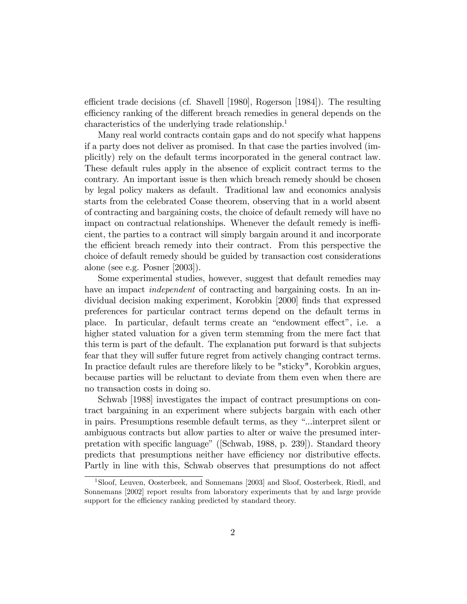efficient trade decisions (cf. Shavell [1980], Rogerson [1984]). The resulting efficiency ranking of the different breach remedies in general depends on the characteristics of the underlying trade relationship.<sup>1</sup>

Many real world contracts contain gaps and do not specify what happens if a party does not deliver as promised. In that case the parties involved (implicitly) rely on the default terms incorporated in the general contract law. These default rules apply in the absence of explicit contract terms to the contrary. An important issue is then which breach remedy should be chosen by legal policy makers as default. Traditional law and economics analysis starts from the celebrated Coase theorem, observing that in a world absent of contracting and bargaining costs, the choice of default remedy will have no impact on contractual relationships. Whenever the default remedy is inefficient, the parties to a contract will simply bargain around it and incorporate the efficient breach remedy into their contract. From this perspective the choice of default remedy should be guided by transaction cost considerations alone (see e.g. Posner [2003]).

Some experimental studies, however, suggest that default remedies may have an impact *independent* of contracting and bargaining costs. In an individual decision making experiment, Korobkin [2000] Önds that expressed preferences for particular contract terms depend on the default terms in place. In particular, default terms create an "endowment effect", i.e. a higher stated valuation for a given term stemming from the mere fact that this term is part of the default. The explanation put forward is that subjects fear that they will suffer future regret from actively changing contract terms. In practice default rules are therefore likely to be "sticky", Korobkin argues, because parties will be reluctant to deviate from them even when there are no transaction costs in doing so.

Schwab [1988] investigates the impact of contract presumptions on contract bargaining in an experiment where subjects bargain with each other in pairs. Presumptions resemble default terms, as they "...interpret silent or ambiguous contracts but allow parties to alter or waive the presumed interpretation with specific language" ( $[\text{Schwab}, 1988, p. 239]$ ). Standard theory predicts that presumptions neither have efficiency nor distributive effects. Partly in line with this, Schwab observes that presumptions do not affect

<sup>&</sup>lt;sup>1</sup>Sloof, Leuven, Oosterbeek, and Sonnemans [2003] and Sloof, Oosterbeek, Riedl, and Sonnemans [2002] report results from laboratory experiments that by and large provide support for the efficiency ranking predicted by standard theory.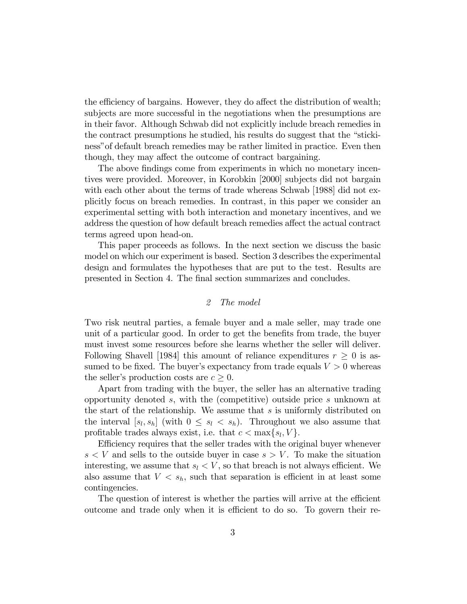the efficiency of bargains. However, they do affect the distribution of wealth; subjects are more successful in the negotiations when the presumptions are in their favor. Although Schwab did not explicitly include breach remedies in the contract presumptions he studied, his results do suggest that the "stickiness" of default breach remedies may be rather limited in practice. Even then though, they may affect the outcome of contract bargaining.

The above findings come from experiments in which no monetary incentives were provided. Moreover, in Korobkin [2000] subjects did not bargain with each other about the terms of trade whereas Schwab [1988] did not explicitly focus on breach remedies. In contrast, in this paper we consider an experimental setting with both interaction and monetary incentives, and we address the question of how default breach remedies affect the actual contract terms agreed upon head-on.

This paper proceeds as follows. In the next section we discuss the basic model on which our experiment is based. Section 3 describes the experimental design and formulates the hypotheses that are put to the test. Results are presented in Section 4. The Önal section summarizes and concludes.

# 2 The model

Two risk neutral parties, a female buyer and a male seller, may trade one unit of a particular good. In order to get the benefits from trade, the buyer must invest some resources before she learns whether the seller will deliver. Following Shavell [1984] this amount of reliance expenditures  $r \geq 0$  is assumed to be fixed. The buyer's expectancy from trade equals  $V > 0$  whereas the seller's production costs are  $c \geq 0$ .

Apart from trading with the buyer, the seller has an alternative trading opportunity denoted s, with the (competitive) outside price s unknown at the start of the relationship. We assume that s is uniformly distributed on the interval  $[s_l, s_h]$  (with  $0 \leq s_l \leq s_h$ ). Throughout we also assume that profitable trades always exist, i.e. that  $c < \max\{s_l, V\}$ .

Efficiency requires that the seller trades with the original buyer whenever  $s < V$  and sells to the outside buyer in case  $s > V$ . To make the situation interesting, we assume that  $s_l < V$ , so that breach is not always efficient. We also assume that  $V < s_h$ , such that separation is efficient in at least some contingencies.

The question of interest is whether the parties will arrive at the efficient outcome and trade only when it is efficient to do so. To govern their re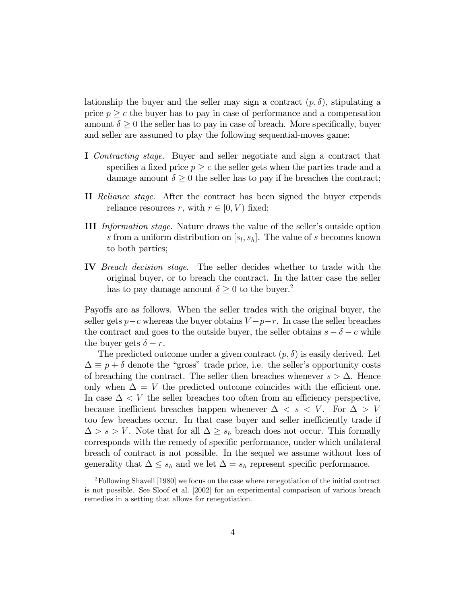lationship the buyer and the seller may sign a contract  $(p, \delta)$ , stipulating a price  $p \geq c$  the buyer has to pay in case of performance and a compensation amount  $\delta \geq 0$  the seller has to pay in case of breach. More specifically, buyer and seller are assumed to play the following sequential-moves game:

- I Contracting stage. Buyer and seller negotiate and sign a contract that specifies a fixed price  $p \geq c$  the seller gets when the parties trade and a damage amount  $\delta \geq 0$  the seller has to pay if he breaches the contract;
- II Reliance stage. After the contract has been signed the buyer expends reliance resources r, with  $r \in [0, V)$  fixed;
- III Information stage. Nature draws the value of the seller's outside option s from a uniform distribution on  $[s_l, s_h]$ . The value of s becomes known to both parties;
- IV Breach decision stage. The seller decides whether to trade with the original buyer, or to breach the contract. In the latter case the seller has to pay damage amount  $\delta \geq 0$  to the buyer.<sup>2</sup>

Payoffs are as follows. When the seller trades with the original buyer, the seller gets  $p-c$  whereas the buyer obtains  $V-p-r$ . In case the seller breaches the contract and goes to the outside buyer, the seller obtains  $s - \delta - c$  while the buyer gets  $\delta - r$ .

The predicted outcome under a given contract  $(p, \delta)$  is easily derived. Let  $\Delta \equiv p + \delta$  denote the "gross" trade price, i.e. the seller's opportunity costs of breaching the contract. The seller then breaches whenever  $s > \Delta$ . Hence only when  $\Delta = V$  the predicted outcome coincides with the efficient one. In case  $\Delta < V$  the seller breaches too often from an efficiency perspective, because inefficient breaches happen whenever  $\Delta < s < V$ . For  $\Delta > V$ too few breaches occur. In that case buyer and seller inefficiently trade if  $\Delta > s > V$ . Note that for all  $\Delta \geq s_h$  breach does not occur. This formally corresponds with the remedy of specific performance, under which unilateral breach of contract is not possible. In the sequel we assume without loss of generality that  $\Delta \leq s_h$  and we let  $\Delta = s_h$  represent specific performance.

<sup>2</sup>Following Shavell [1980] we focus on the case where renegotiation of the initial contract is not possible. See Sloof et al. [2002] for an experimental comparison of various breach remedies in a setting that allows for renegotiation.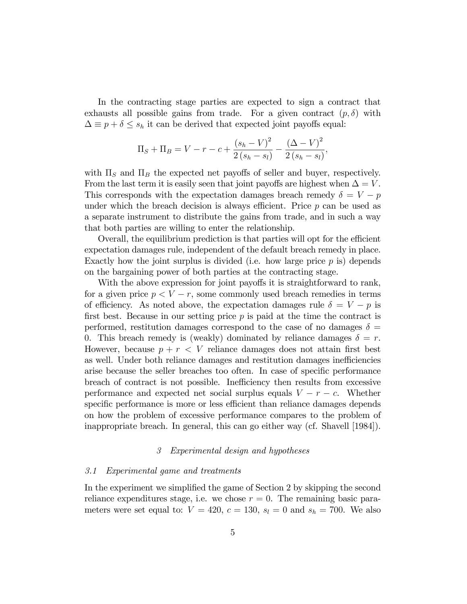In the contracting stage parties are expected to sign a contract that exhausts all possible gains from trade. For a given contract  $(p, \delta)$  with  $\Delta \equiv p + \delta \leq s_h$  it can be derived that expected joint payoffs equal:

$$
\Pi_S + \Pi_B = V - r - c + \frac{(s_h - V)^2}{2(s_h - s_l)} - \frac{(\Delta - V)^2}{2(s_h - s_l)},
$$

with  $\Pi_S$  and  $\Pi_B$  the expected net payoffs of seller and buyer, respectively. From the last term it is easily seen that joint payoffs are highest when  $\Delta = V$ . This corresponds with the expectation damages breach remedy  $\delta = V - p$ under which the breach decision is always efficient. Price  $p$  can be used as a separate instrument to distribute the gains from trade, and in such a way that both parties are willing to enter the relationship.

Overall, the equilibrium prediction is that parties will opt for the efficient expectation damages rule, independent of the default breach remedy in place. Exactly how the joint surplus is divided (i.e. how large price  $p$  is) depends on the bargaining power of both parties at the contracting stage.

With the above expression for joint payoffs it is straightforward to rank, for a given price  $p < V - r$ , some commonly used breach remedies in terms of efficiency. As noted above, the expectation damages rule  $\delta = V - p$  is first best. Because in our setting price  $p$  is paid at the time the contract is performed, restitution damages correspond to the case of no damages  $\delta =$ 0. This breach remedy is (weakly) dominated by reliance damages  $\delta = r$ . However, because  $p + r < V$  reliance damages does not attain first best as well. Under both reliance damages and restitution damages inefficiencies arise because the seller breaches too often. In case of specific performance breach of contract is not possible. Inefficiency then results from excessive performance and expected net social surplus equals  $V - r - c$ . Whether specific performance is more or less efficient than reliance damages depends on how the problem of excessive performance compares to the problem of inappropriate breach. In general, this can go either way (cf. Shavell [1984]).

# 3 Experimental design and hypotheses

#### 3.1 Experimental game and treatments

In the experiment we simplified the game of Section 2 by skipping the second reliance expenditures stage, i.e. we chose  $r = 0$ . The remaining basic parameters were set equal to:  $V = 420$ ,  $c = 130$ ,  $s_l = 0$  and  $s_h = 700$ . We also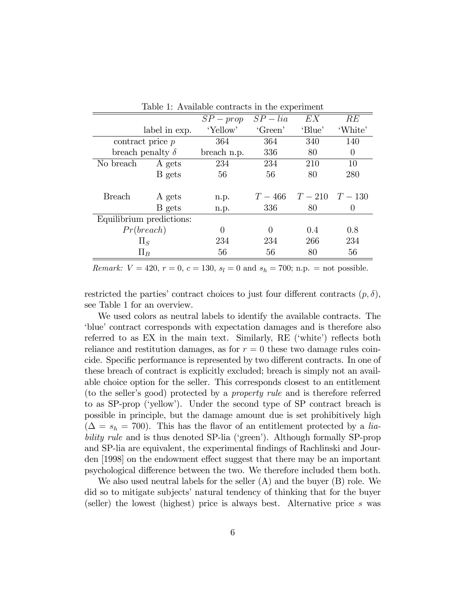| Table 1: Available contracts in the experiment |                         |             |            |                 |              |  |  |
|------------------------------------------------|-------------------------|-------------|------------|-----------------|--------------|--|--|
|                                                |                         | $SP - prop$ | $SP - lia$ | EX              | RE           |  |  |
|                                                | label in exp.           | 'Yellow'    | 'Green'    | 'Blue'          | 'White'      |  |  |
|                                                | contract price $p$      | 364         | 364        | 340             | 140          |  |  |
|                                                | breach penalty $\delta$ | breach n.p. | 336        | 80              | $\theta$     |  |  |
| No breach                                      | A gets                  | 234         | 234        | 210             | 10           |  |  |
|                                                | B gets                  | 56          | 56         | 80              | 280          |  |  |
|                                                |                         |             |            |                 |              |  |  |
| Breach                                         | A gets                  | n.p.        | $T - 466$  | $T-210$ $T-130$ |              |  |  |
|                                                | B gets                  | n.p.        | 336        | 80              | $\mathbf{0}$ |  |  |
| Equilibrium predictions:                       |                         |             |            |                 |              |  |  |
| Pr(breach)                                     |                         | $\Omega$    | ∩          | 0.4             | 0.8          |  |  |
| $\Pi_S$                                        |                         | 234         | 266<br>234 |                 | 234          |  |  |
| $\Pi_B$                                        |                         | 56          | 56<br>80   |                 | 56           |  |  |

railable contracts in the experim

*Remark:*  $V = 420$ ,  $r = 0$ ,  $c = 130$ ,  $s_l = 0$  and  $s_h = 700$ ; n.p. = not possible.

restricted the parties' contract choices to just four different contracts  $(p, \delta)$ , see Table 1 for an overview.

We used colors as neutral labels to identify the available contracts. The the contract corresponds with expectation damages and is therefore also referred to as  $EX$  in the main text. Similarly,  $RE$  ('white') reflects both reliance and restitution damages, as for  $r = 0$  these two damage rules coincide. Specific performance is represented by two different contracts. In one of these breach of contract is explicitly excluded; breach is simply not an available choice option for the seller. This corresponds closest to an entitlement (to the seller's good) protected by a *property rule* and is therefore referred to as SP-prop ('yellow'). Under the second type of SP contract breach is possible in principle, but the damage amount due is set prohibitively high  $(\Delta = s_h = 700)$ . This has the flavor of an entitlement protected by a *lia*bility rule and is thus denoted SP-lia ('green'). Although formally SP-prop and SP-lia are equivalent, the experimental findings of Rachlinski and Jourden [1998] on the endowment effect suggest that there may be an important psychological difference between the two. We therefore included them both.

We also used neutral labels for the seller (A) and the buyer (B) role. We did so to mitigate subjects' natural tendency of thinking that for the buyer (seller) the lowest (highest) price is always best. Alternative price s was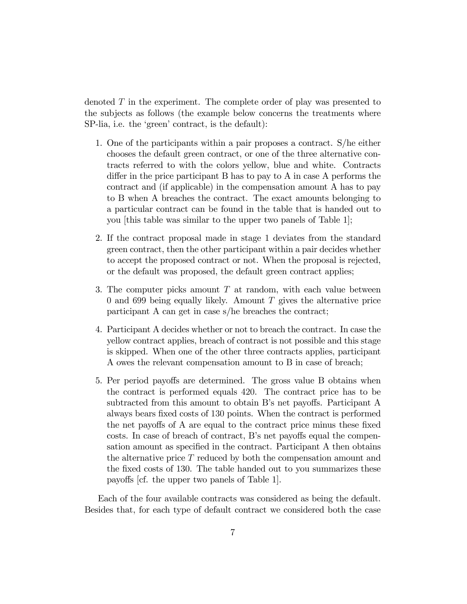denoted T in the experiment. The complete order of play was presented to the subjects as follows (the example below concerns the treatments where SP-lia, i.e. the 'green' contract, is the default):

- 1. One of the participants within a pair proposes a contract. S/he either chooses the default green contract, or one of the three alternative contracts referred to with the colors yellow, blue and white. Contracts differ in the price participant  $B$  has to pay to  $A$  in case  $A$  performs the contract and (if applicable) in the compensation amount A has to pay to B when A breaches the contract. The exact amounts belonging to a particular contract can be found in the table that is handed out to you [this table was similar to the upper two panels of Table 1];
- 2. If the contract proposal made in stage 1 deviates from the standard green contract, then the other participant within a pair decides whether to accept the proposed contract or not. When the proposal is rejected, or the default was proposed, the default green contract applies;
- 3. The computer picks amount  $T$  at random, with each value between 0 and 699 being equally likely. Amount  $T$  gives the alternative price participant A can get in case s/he breaches the contract;
- 4. Participant A decides whether or not to breach the contract. In case the yellow contract applies, breach of contract is not possible and this stage is skipped. When one of the other three contracts applies, participant A owes the relevant compensation amount to B in case of breach;
- 5. Per period payoffs are determined. The gross value B obtains when the contract is performed equals 420. The contract price has to be subtracted from this amount to obtain B's net payoffs. Participant A always bears fixed costs of 130 points. When the contract is performed the net payoffs of A are equal to the contract price minus these fixed costs. In case of breach of contract, B's net payoffs equal the compensation amount as specified in the contract. Participant A then obtains the alternative price T reduced by both the compensation amount and the fixed costs of 130. The table handed out to you summarizes these payo§s [cf. the upper two panels of Table 1].

Each of the four available contracts was considered as being the default. Besides that, for each type of default contract we considered both the case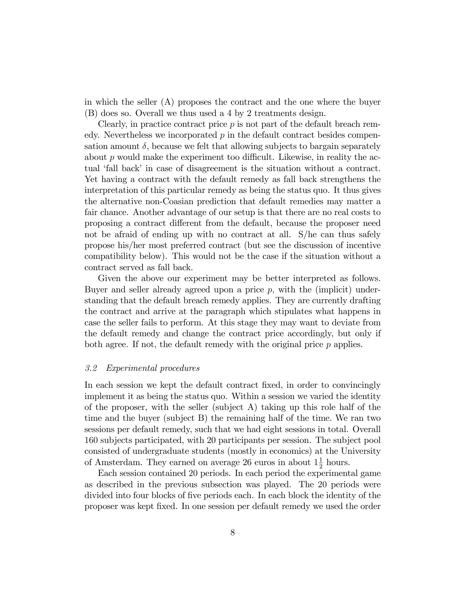in which the seller  $(A)$  proposes the contract and the one where the buyer (B) does so. Overall we thus used a 4 by 2 treatments design.

Clearly, in practice contract price  $p$  is not part of the default breach remedy. Nevertheless we incorporated  $p$  in the default contract besides compensation amount  $\delta$ , because we felt that allowing subjects to bargain separately about  $p$  would make the experiment too difficult. Likewise, in reality the actual 'fall back' in case of disagreement is the situation without a contract. Yet having a contract with the default remedy as fall back strengthens the interpretation of this particular remedy as being the status quo. It thus gives the alternative non-Coasian prediction that default remedies may matter a fair chance. Another advantage of our setup is that there are no real costs to proposing a contract different from the default, because the proposer need not be afraid of ending up with no contract at all. S/he can thus safely propose his/her most preferred contract (but see the discussion of incentive compatibility below). This would not be the case if the situation without a contract served as fall back.

Given the above our experiment may be better interpreted as follows. Buyer and seller already agreed upon a price  $p$ , with the (implicit) understanding that the default breach remedy applies. They are currently drafting the contract and arrive at the paragraph which stipulates what happens in case the seller fails to perform. At this stage they may want to deviate from the default remedy and change the contract price accordingly, but only if both agree. If not, the default remedy with the original price p applies.

### 3.2 Experimental procedures

In each session we kept the default contract fixed, in order to convincingly implement it as being the status quo. Within a session we varied the identity of the proposer, with the seller (subject A) taking up this role half of the time and the buyer (subject B) the remaining half of the time. We ran two sessions per default remedy, such that we had eight sessions in total. Overall 160 subjects participated, with 20 participants per session. The subject pool consisted of undergraduate students (mostly in economics) at the University of Amsterdam. They earned on average 26 euros in about  $1\frac{1}{2}$  $\frac{1}{2}$  hours.

Each session contained 20 periods. In each period the experimental game as described in the previous subsection was played. The 20 periods were divided into four blocks of five periods each. In each block the identity of the proposer was kept Öxed. In one session per default remedy we used the order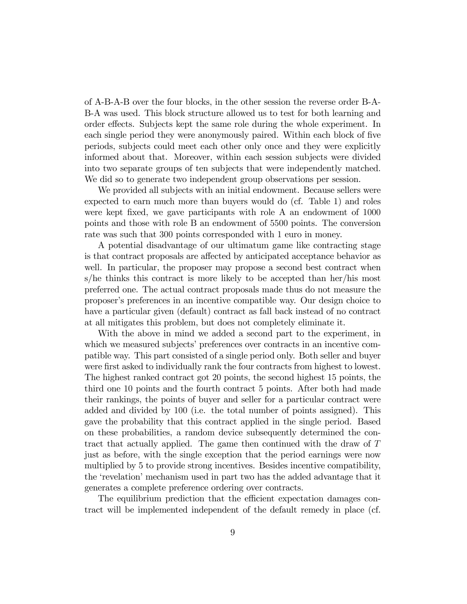of A-B-A-B over the four blocks, in the other session the reverse order B-A-B-A was used. This block structure allowed us to test for both learning and order effects. Subjects kept the same role during the whole experiment. In each single period they were anonymously paired. Within each block of five periods, subjects could meet each other only once and they were explicitly informed about that. Moreover, within each session subjects were divided into two separate groups of ten subjects that were independently matched. We did so to generate two independent group observations per session.

We provided all subjects with an initial endowment. Because sellers were expected to earn much more than buyers would do (cf. Table 1) and roles were kept fixed, we gave participants with role  $\Lambda$  an endowment of 1000 points and those with role B an endowment of 5500 points. The conversion rate was such that 300 points corresponded with 1 euro in money.

A potential disadvantage of our ultimatum game like contracting stage is that contract proposals are affected by anticipated acceptance behavior as well. In particular, the proposer may propose a second best contract when s/he thinks this contract is more likely to be accepted than her/his most preferred one. The actual contract proposals made thus do not measure the proposerís preferences in an incentive compatible way. Our design choice to have a particular given (default) contract as fall back instead of no contract at all mitigates this problem, but does not completely eliminate it.

With the above in mind we added a second part to the experiment, in which we measured subjects' preferences over contracts in an incentive compatible way. This part consisted of a single period only. Both seller and buyer were first asked to individually rank the four contracts from highest to lowest. The highest ranked contract got 20 points, the second highest 15 points, the third one 10 points and the fourth contract 5 points. After both had made their rankings, the points of buyer and seller for a particular contract were added and divided by 100 (i.e. the total number of points assigned). This gave the probability that this contract applied in the single period. Based on these probabilities, a random device subsequently determined the contract that actually applied. The game then continued with the draw of T just as before, with the single exception that the period earnings were now multiplied by 5 to provide strong incentives. Besides incentive compatibility, the 'revelation' mechanism used in part two has the added advantage that it generates a complete preference ordering over contracts.

The equilibrium prediction that the efficient expectation damages contract will be implemented independent of the default remedy in place (cf.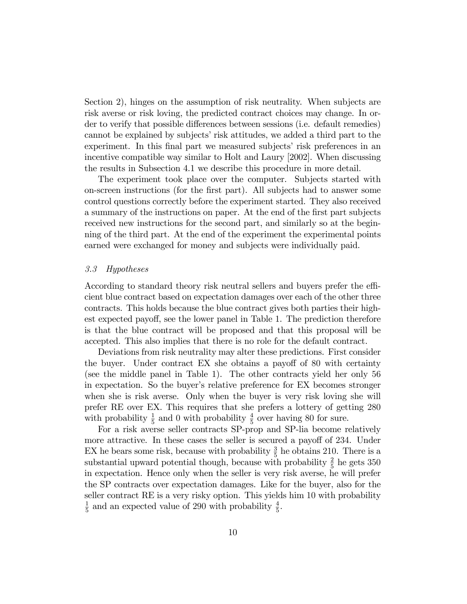Section 2), hinges on the assumption of risk neutrality. When subjects are risk averse or risk loving, the predicted contract choices may change. In order to verify that possible differences between sessions (i.e. default remedies) cannot be explained by subjects' risk attitudes, we added a third part to the experiment. In this final part we measured subjects' risk preferences in an incentive compatible way similar to Holt and Laury [2002]. When discussing the results in Subsection 4.1 we describe this procedure in more detail.

The experiment took place over the computer. Subjects started with on-screen instructions (for the Örst part). All subjects had to answer some control questions correctly before the experiment started. They also received a summary of the instructions on paper. At the end of the first part subjects received new instructions for the second part, and similarly so at the beginning of the third part. At the end of the experiment the experimental points earned were exchanged for money and subjects were individually paid.

## 3.3 Hypotheses

According to standard theory risk neutral sellers and buyers prefer the efficient blue contract based on expectation damages over each of the other three contracts. This holds because the blue contract gives both parties their highest expected payoff, see the lower panel in Table 1. The prediction therefore is that the blue contract will be proposed and that this proposal will be accepted. This also implies that there is no role for the default contract.

Deviations from risk neutrality may alter these predictions. First consider the buyer. Under contract EX she obtains a payoff of 80 with certainty (see the middle panel in Table 1). The other contracts yield her only 56 in expectation. So the buyer's relative preference for EX becomes stronger when she is risk averse. Only when the buyer is very risk loving she will prefer RE over EX. This requires that she prefers a lottery of getting 280 with probability  $\frac{1}{5}$  and 0 with probability  $\frac{4}{5}$  over having 80 for sure.

For a risk averse seller contracts SP-prop and SP-lia become relatively more attractive. In these cases the seller is secured a payoff of 234. Under EX he bears some risk, because with probability  $\frac{3}{5}$  he obtains 210. There is a substantial upward potential though, because with probability  $\frac{2}{5}$  he gets 350 in expectation. Hence only when the seller is very risk averse, he will prefer the SP contracts over expectation damages. Like for the buyer, also for the seller contract RE is a very risky option. This yields him 10 with probability 1  $\frac{1}{5}$  and an expected value of 290 with probability  $\frac{4}{5}$ .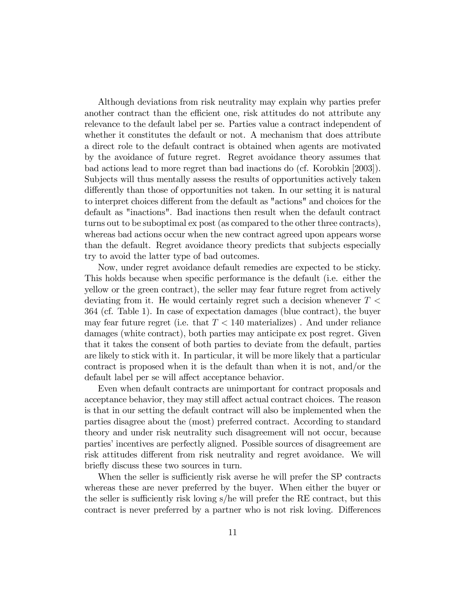Although deviations from risk neutrality may explain why parties prefer another contract than the efficient one, risk attitudes do not attribute any relevance to the default label per se. Parties value a contract independent of whether it constitutes the default or not. A mechanism that does attribute a direct role to the default contract is obtained when agents are motivated by the avoidance of future regret. Regret avoidance theory assumes that bad actions lead to more regret than bad inactions do (cf. Korobkin [2003]). Subjects will thus mentally assess the results of opportunities actively taken differently than those of opportunities not taken. In our setting it is natural to interpret choices different from the default as "actions" and choices for the default as "inactions". Bad inactions then result when the default contract turns out to be suboptimal ex post (as compared to the other three contracts), whereas bad actions occur when the new contract agreed upon appears worse than the default. Regret avoidance theory predicts that subjects especially try to avoid the latter type of bad outcomes.

Now, under regret avoidance default remedies are expected to be sticky. This holds because when specific performance is the default (i.e. either the yellow or the green contract), the seller may fear future regret from actively deviating from it. He would certainly regret such a decision whenever  $T <$ 364 (cf. Table 1). In case of expectation damages (blue contract), the buyer may fear future regret (i.e. that  $T < 140$  materializes). And under reliance damages (white contract), both parties may anticipate ex post regret. Given that it takes the consent of both parties to deviate from the default, parties are likely to stick with it. In particular, it will be more likely that a particular contract is proposed when it is the default than when it is not, and/or the default label per se will affect acceptance behavior.

Even when default contracts are unimportant for contract proposals and acceptance behavior, they may still affect actual contract choices. The reason is that in our setting the default contract will also be implemented when the parties disagree about the (most) preferred contract. According to standard theory and under risk neutrality such disagreement will not occur, because parties' incentives are perfectly aligned. Possible sources of disagreement are risk attitudes different from risk neutrality and regret avoidance. We will briefly discuss these two sources in turn.

When the seller is sufficiently risk averse he will prefer the SP contracts whereas these are never preferred by the buyer. When either the buyer or the seller is sufficiently risk loving s/he will prefer the RE contract, but this contract is never preferred by a partner who is not risk loving. Differences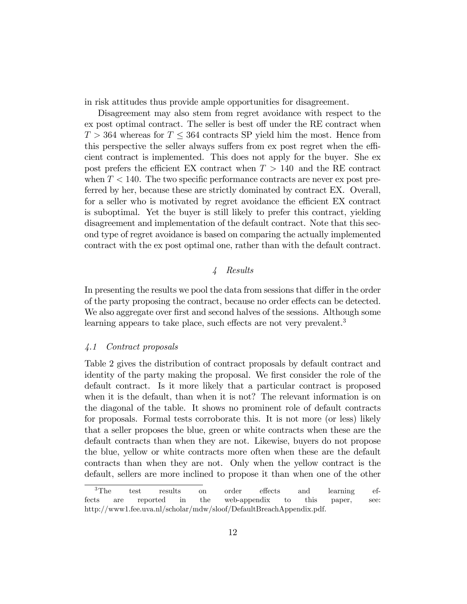in risk attitudes thus provide ample opportunities for disagreement.

Disagreement may also stem from regret avoidance with respect to the ex post optimal contract. The seller is best off under the RE contract when  $T > 364$  whereas for  $T < 364$  contracts SP yield him the most. Hence from this perspective the seller always suffers from ex post regret when the efficient contract is implemented. This does not apply for the buyer. She ex post prefers the efficient EX contract when  $T > 140$  and the RE contract when  $T < 140$ . The two specific performance contracts are never ex post preferred by her, because these are strictly dominated by contract EX. Overall, for a seller who is motivated by regret avoidance the efficient EX contract is suboptimal. Yet the buyer is still likely to prefer this contract, yielding disagreement and implementation of the default contract. Note that this second type of regret avoidance is based on comparing the actually implemented contract with the ex post optimal one, rather than with the default contract.

# 4 Results

In presenting the results we pool the data from sessions that differ in the order of the party proposing the contract, because no order effects can be detected. We also aggregate over first and second halves of the sessions. Although some learning appears to take place, such effects are not very prevalent.<sup>3</sup>

### 4.1 Contract proposals

Table 2 gives the distribution of contract proposals by default contract and identity of the party making the proposal. We first consider the role of the default contract. Is it more likely that a particular contract is proposed when it is the default, than when it is not? The relevant information is on the diagonal of the table. It shows no prominent role of default contracts for proposals. Formal tests corroborate this. It is not more (or less) likely that a seller proposes the blue, green or white contracts when these are the default contracts than when they are not. Likewise, buyers do not propose the blue, yellow or white contracts more often when these are the default contracts than when they are not. Only when the yellow contract is the default, sellers are more inclined to propose it than when one of the other

 ${}^{3}$ The test results on order effects and learning effects are reported in the web-appendix to this paper, see: http://www1.fee.uva.nl/scholar/mdw/sloof/DefaultBreachAppendix.pdf.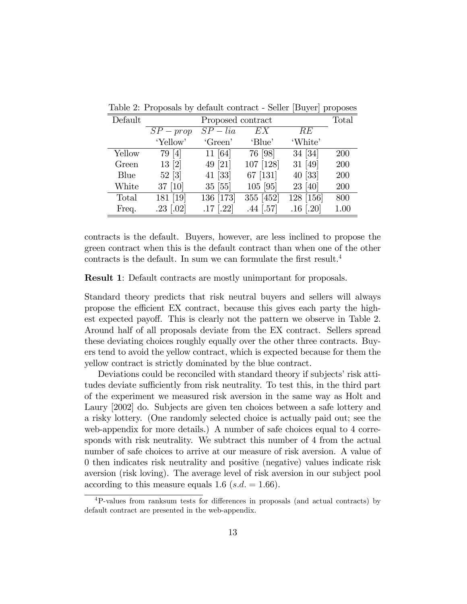| Default | Proposed contract |               |             |               |      |  |
|---------|-------------------|---------------|-------------|---------------|------|--|
|         | $SP - prop$       | $SP - lia$    | EX          | RE            |      |  |
|         | 'Yellow'          | 'Green'       | 'Blue'      | 'White'       |      |  |
| Yellow  | 79 [4]            | 11 [64]       | 76 [98]     | 34 [34]       | 200  |  |
| Green   | 13[2]             | 49 [21]       | 107 [128]   | 31 [49]       | 200  |  |
| Blue    | $52 \; [3]$       | 41 [33]       | 67 [131]    | 40 [33]       | 200  |  |
| White   | 37[10]            | 35 [55]       | $105$ [95]  | 23 [40]       | 200  |  |
| Total   | 181 [19]          | 136 [173]     | 355 [452]   | 128 [156]     | 800  |  |
| Freq.   | $.23$ $[.02]$     | $.17$ $[.22]$ | $.44$ [.57] | $.16$ $[.20]$ | 1.00 |  |

Table 2: Proposals by default contract - Seller [Buyer] proposes

contracts is the default. Buyers, however, are less inclined to propose the green contract when this is the default contract than when one of the other contracts is the default. In sum we can formulate the first result.<sup>4</sup>

Result 1: Default contracts are mostly unimportant for proposals.

Standard theory predicts that risk neutral buyers and sellers will always propose the efficient EX contract, because this gives each party the highest expected payoff. This is clearly not the pattern we observe in Table 2. Around half of all proposals deviate from the EX contract. Sellers spread these deviating choices roughly equally over the other three contracts. Buyers tend to avoid the yellow contract, which is expected because for them the yellow contract is strictly dominated by the blue contract.

Deviations could be reconciled with standard theory if subjects' risk attitudes deviate sufficiently from risk neutrality. To test this, in the third part of the experiment we measured risk aversion in the same way as Holt and Laury [2002] do. Subjects are given ten choices between a safe lottery and a risky lottery. (One randomly selected choice is actually paid out; see the web-appendix for more details.) A number of safe choices equal to 4 corresponds with risk neutrality. We subtract this number of 4 from the actual number of safe choices to arrive at our measure of risk aversion. A value of 0 then indicates risk neutrality and positive (negative) values indicate risk aversion (risk loving). The average level of risk aversion in our subject pool according to this measure equals 1.6 (s.d.  $= 1.66$ ).

<sup>&</sup>lt;sup>4</sup>P-values from ranksum tests for differences in proposals (and actual contracts) by default contract are presented in the web-appendix.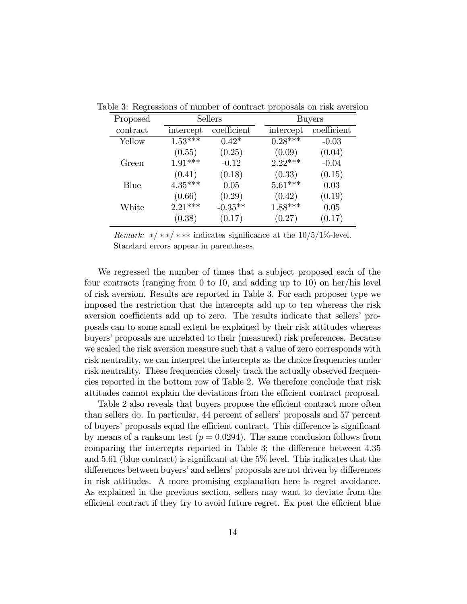| Proposed |           | Sellers     | <b>Buyers</b> |             |  |  |
|----------|-----------|-------------|---------------|-------------|--|--|
| contract | intercept | coefficient | intercept     | coefficient |  |  |
| Yellow   | $1.53***$ | $0.42*$     | $0.28***$     | $-0.03$     |  |  |
|          | (0.55)    | (0.25)      | (0.09)        | (0.04)      |  |  |
| Green    | $1.91***$ | $-0.12$     | $2.22***$     | $-0.04$     |  |  |
|          | (0.41)    | (0.18)      | (0.33)        | (0.15)      |  |  |
| Blue     | $4.35***$ | 0.05        | $5.61***$     | 0.03        |  |  |
|          | (0.66)    | (0.29)      | (0.42)        | (0.19)      |  |  |
| White    | $2.21***$ | $-0.35**$   | $1.88***$     | 0.05        |  |  |
|          | (0.38)    | (0.17)      | (0.27)        | (0.17)      |  |  |

Table 3: Regressions of number of contract proposals on risk aversion

Remark:  $*/***$  indicates significance at the 10/5/1%-level. Standard errors appear in parentheses.

We regressed the number of times that a subject proposed each of the four contracts (ranging from 0 to 10, and adding up to 10) on her/his level of risk aversion. Results are reported in Table 3. For each proposer type we imposed the restriction that the intercepts add up to ten whereas the risk aversion coefficients add up to zero. The results indicate that sellers' proposals can to some small extent be explained by their risk attitudes whereas buyers' proposals are unrelated to their (measured) risk preferences. Because we scaled the risk aversion measure such that a value of zero corresponds with risk neutrality, we can interpret the intercepts as the choice frequencies under risk neutrality. These frequencies closely track the actually observed frequencies reported in the bottom row of Table 2. We therefore conclude that risk attitudes cannot explain the deviations from the efficient contract proposal.

Table 2 also reveals that buyers propose the efficient contract more often than sellers do. In particular, 44 percent of sellers' proposals and 57 percent of buyers' proposals equal the efficient contract. This difference is significant by means of a ranksum test ( $p = 0.0294$ ). The same conclusion follows from comparing the intercepts reported in Table 3; the difference between  $4.35$ and  $5.61$  (blue contract) is significant at the  $5\%$  level. This indicates that the differences between buyers' and sellers' proposals are not driven by differences in risk attitudes. A more promising explanation here is regret avoidance. As explained in the previous section, sellers may want to deviate from the efficient contract if they try to avoid future regret. Ex post the efficient blue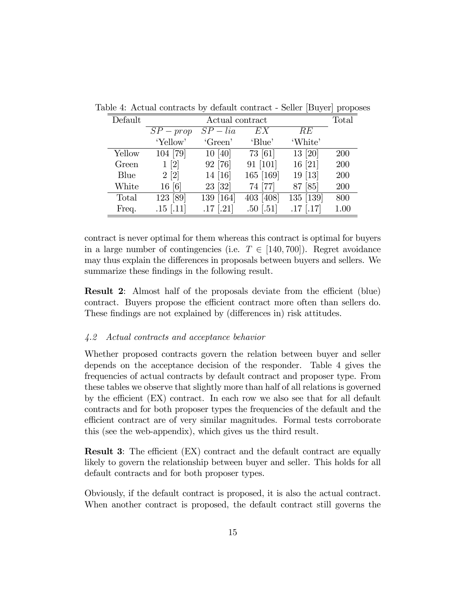| Default |                  | Total         |             |             |      |
|---------|------------------|---------------|-------------|-------------|------|
|         | $SP - prop$      | $SP-lia$      | EX          | RE          |      |
|         | 'Yellow'         | 'Green'       | 'Blue'      | 'White'     |      |
| Yellow  | 104 [79]         | 10[40]        | 73 [61]     | 13 [20]     | 200  |
| Green   | $1\vert 2\rvert$ | 92 [76]       | 91 [101]    | 16 [21]     | 200  |
| Blue    | 2[2]             | 14 [16]       | 165 [169]   | 19 [13]     | 200  |
| White   | 16 [6]           | 23 [32]       | 74 [77]     | 87 [85]     | 200  |
| Total   | 123 [89]         | 139 [164]     | 403 [408]   | 135 [139]   | 800  |
| Freq.   | $.15$ [.11]      | $.17$ $[.21]$ | $.50$ [.51] | $.17$ [.17] | 1.00 |

Table 4: Actual contracts by default contract - Seller [Buyer] proposes

contract is never optimal for them whereas this contract is optimal for buyers in a large number of contingencies (i.e.  $T \in [140, 700]$ ). Regret avoidance may thus explain the differences in proposals between buyers and sellers. We summarize these findings in the following result.

**Result 2:** Almost half of the proposals deviate from the efficient (blue) contract. Buyers propose the efficient contract more often than sellers do. These findings are not explained by (differences in) risk attitudes.

# 4.2 Actual contracts and acceptance behavior

Whether proposed contracts govern the relation between buyer and seller depends on the acceptance decision of the responder. Table 4 gives the frequencies of actual contracts by default contract and proposer type. From these tables we observe that slightly more than half of all relations is governed by the efficient  $(EX)$  contract. In each row we also see that for all default contracts and for both proposer types the frequencies of the default and the efficient contract are of very similar magnitudes. Formal tests corroborate this (see the web-appendix), which gives us the third result.

**Result 3:** The efficient (EX) contract and the default contract are equally likely to govern the relationship between buyer and seller. This holds for all default contracts and for both proposer types.

Obviously, if the default contract is proposed, it is also the actual contract. When another contract is proposed, the default contract still governs the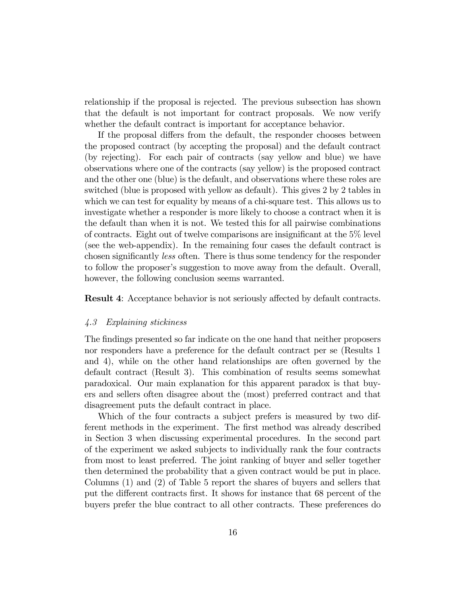relationship if the proposal is rejected. The previous subsection has shown that the default is not important for contract proposals. We now verify whether the default contract is important for acceptance behavior.

If the proposal differs from the default, the responder chooses between the proposed contract (by accepting the proposal) and the default contract (by rejecting). For each pair of contracts (say yellow and blue) we have observations where one of the contracts (say yellow) is the proposed contract and the other one (blue) is the default, and observations where these roles are switched (blue is proposed with yellow as default). This gives 2 by 2 tables in which we can test for equality by means of a chi-square test. This allows us to investigate whether a responder is more likely to choose a contract when it is the default than when it is not. We tested this for all pairwise combinations of contracts. Eight out of twelve comparisons are insignificant at the  $5\%$  level (see the web-appendix). In the remaining four cases the default contract is chosen significantly *less* often. There is thus some tendency for the responder to follow the proposerís suggestion to move away from the default. Overall, however, the following conclusion seems warranted.

**Result 4:** Acceptance behavior is not seriously affected by default contracts.

# 4.3 Explaining stickiness

The findings presented so far indicate on the one hand that neither proposers nor responders have a preference for the default contract per se (Results 1 and 4), while on the other hand relationships are often governed by the default contract (Result 3). This combination of results seems somewhat paradoxical. Our main explanation for this apparent paradox is that buyers and sellers often disagree about the (most) preferred contract and that disagreement puts the default contract in place.

Which of the four contracts a subject prefers is measured by two different methods in the experiment. The first method was already described in Section 3 when discussing experimental procedures. In the second part of the experiment we asked subjects to individually rank the four contracts from most to least preferred. The joint ranking of buyer and seller together then determined the probability that a given contract would be put in place. Columns (1) and (2) of Table 5 report the shares of buyers and sellers that put the different contracts first. It shows for instance that 68 percent of the buyers prefer the blue contract to all other contracts. These preferences do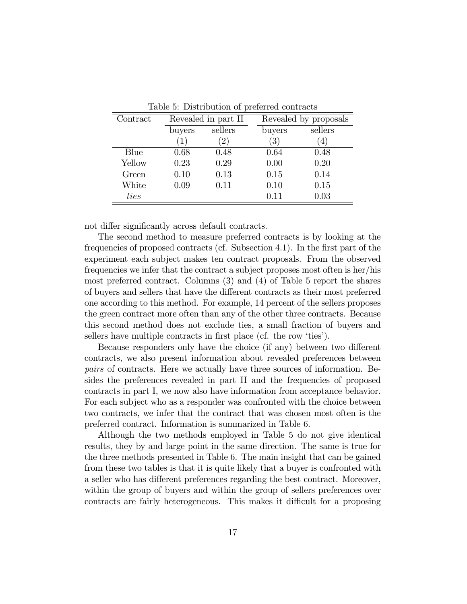| $\emph{Contract}$ | Revealed in part II |                        | Revealed by proposals |                   |  |  |
|-------------------|---------------------|------------------------|-----------------------|-------------------|--|--|
|                   | sellers<br>buyers   |                        | buyers                | sellers           |  |  |
|                   | $\left(1\right)$    | $\left 2\right\rangle$ |                       | $\left( 4\right)$ |  |  |
| Blue              | 0.68                | 0.48                   | 0.64                  | 0.48              |  |  |
| Yellow            | 0.23                | 0.29                   | 0.00                  | 0.20              |  |  |
| Green             | 0.10                | 0.13                   | 0.15                  | 0.14              |  |  |
| White             | 0.09                | 0.11                   | 0.10                  | 0.15              |  |  |
| ties              |                     |                        | 011                   | 0.03              |  |  |

Table 5: Distribution of preferred contracts

not differ significantly across default contracts.

The second method to measure preferred contracts is by looking at the frequencies of proposed contracts (cf. Subsection 4.1). In the first part of the experiment each subject makes ten contract proposals. From the observed frequencies we infer that the contract a subject proposes most often is her/his most preferred contract. Columns (3) and (4) of Table 5 report the shares of buyers and sellers that have the different contracts as their most preferred one according to this method. For example, 14 percent of the sellers proposes the green contract more often than any of the other three contracts. Because this second method does not exclude ties, a small fraction of buyers and sellers have multiple contracts in first place (cf. the row 'ties').

Because responders only have the choice (if any) between two different contracts, we also present information about revealed preferences between pairs of contracts. Here we actually have three sources of information. Besides the preferences revealed in part II and the frequencies of proposed contracts in part I, we now also have information from acceptance behavior. For each subject who as a responder was confronted with the choice between two contracts, we infer that the contract that was chosen most often is the preferred contract. Information is summarized in Table 6.

Although the two methods employed in Table 5 do not give identical results, they by and large point in the same direction. The same is true for the three methods presented in Table 6. The main insight that can be gained from these two tables is that it is quite likely that a buyer is confronted with a seller who has different preferences regarding the best contract. Moreover, within the group of buyers and within the group of sellers preferences over contracts are fairly heterogeneous. This makes it difficult for a proposing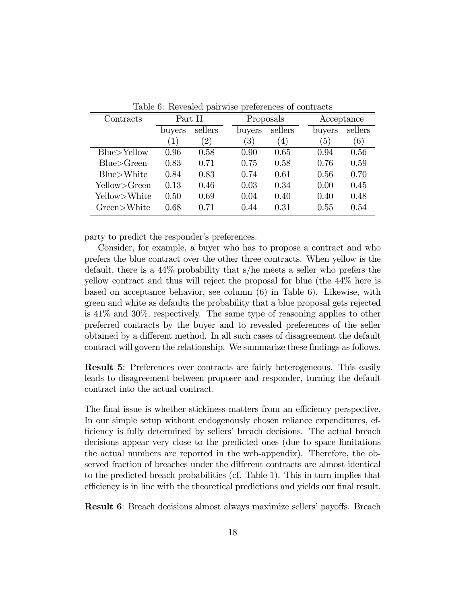| Contracts    | Part II          |                   | Proposals        |         |  | Acceptance       |         |  |
|--------------|------------------|-------------------|------------------|---------|--|------------------|---------|--|
|              | buyers           | sellers           | buyers           | sellers |  | buyers           | sellers |  |
|              | $\left(1\right)$ | $\left( 2\right)$ | $\left(3\right)$ | (4)     |  | $\left(5\right)$ | (6)     |  |
| Blue>Yellow  | 0.96             | 0.58              | 0.90             | 0.65    |  | 0.94             | 0.56    |  |
| Blue > Green | 0.83             | 0.71              | 0.75             | 0.58    |  | 0.76             | 0.59    |  |
| Blue>White   | 0.84             | 0.83              | 0.74             | 0.61    |  | 0.56             | 0.70    |  |
| Yellow>Green | 0.13             | 0.46              | 0.03             | 0.34    |  | 0.00             | 0.45    |  |
| Yellow>White | 0.50             | 0.69              | 0.04             | 0.40    |  | 0.40             | 0.48    |  |
| Green>White  | 0.68             | 0.71              | 0.44             | 0.31    |  | 0.55             | 0.54    |  |

Table 6: Revealed pairwise preferences of contracts

party to predict the responder's preferences.

Consider, for example, a buyer who has to propose a contract and who prefers the blue contract over the other three contracts. When yellow is the default, there is a 44% probability that s/he meets a seller who prefers the yellow contract and thus will reject the proposal for blue (the 44% here is based on acceptance behavior, see column (6) in Table 6). Likewise, with green and white as defaults the probability that a blue proposal gets rejected is 41% and 30%, respectively. The same type of reasoning applies to other preferred contracts by the buyer and to revealed preferences of the seller obtained by a different method. In all such cases of disagreement the default contract will govern the relationship. We summarize these findings as follows.

Result 5: Preferences over contracts are fairly heterogeneous. This easily leads to disagreement between proposer and responder, turning the default contract into the actual contract.

The final issue is whether stickiness matters from an efficiency perspective. In our simple setup without endogenously chosen reliance expenditures, efficiency is fully determined by sellers' breach decisions. The actual breach decisions appear very close to the predicted ones (due to space limitations the actual numbers are reported in the web-appendix). Therefore, the observed fraction of breaches under the different contracts are almost identical to the predicted breach probabilities (cf. Table 1). This in turn implies that efficiency is in line with the theoretical predictions and yields our final result.

**Result 6:** Breach decisions almost always maximize sellers' payoffs. Breach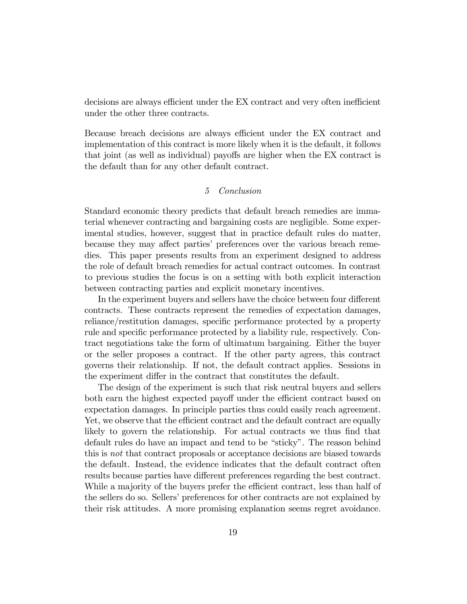decisions are always efficient under the EX contract and very often inefficient under the other three contracts.

Because breach decisions are always efficient under the EX contract and implementation of this contract is more likely when it is the default, it follows that joint (as well as individual) payoffs are higher when the EX contract is the default than for any other default contract.

# 5 Conclusion

Standard economic theory predicts that default breach remedies are immaterial whenever contracting and bargaining costs are negligible. Some experimental studies, however, suggest that in practice default rules do matter, because they may affect parties' preferences over the various breach remedies. This paper presents results from an experiment designed to address the role of default breach remedies for actual contract outcomes. In contrast to previous studies the focus is on a setting with both explicit interaction between contracting parties and explicit monetary incentives.

In the experiment buyers and sellers have the choice between four different contracts. These contracts represent the remedies of expectation damages, reliance/restitution damages, specific performance protected by a property rule and specific performance protected by a liability rule, respectively. Contract negotiations take the form of ultimatum bargaining. Either the buyer or the seller proposes a contract. If the other party agrees, this contract governs their relationship. If not, the default contract applies. Sessions in the experiment differ in the contract that constitutes the default.

The design of the experiment is such that risk neutral buyers and sellers both earn the highest expected payoff under the efficient contract based on expectation damages. In principle parties thus could easily reach agreement. Yet, we observe that the efficient contract and the default contract are equally likely to govern the relationship. For actual contracts we thus find that default rules do have an impact and tend to be "sticky". The reason behind this is not that contract proposals or acceptance decisions are biased towards the default. Instead, the evidence indicates that the default contract often results because parties have different preferences regarding the best contract. While a majority of the buyers prefer the efficient contract, less than half of the sellers do so. Sellers' preferences for other contracts are not explained by their risk attitudes. A more promising explanation seems regret avoidance.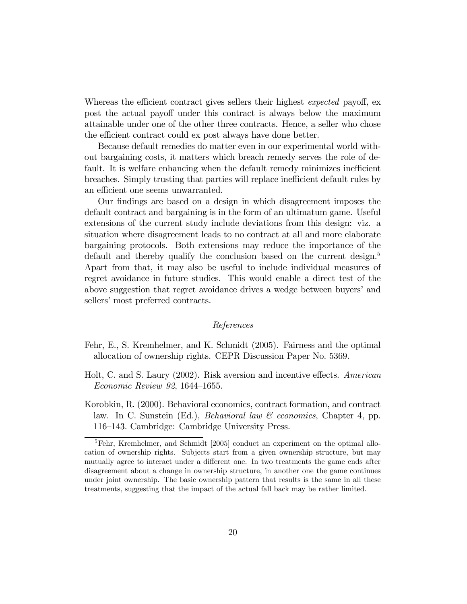Whereas the efficient contract gives sellers their highest *expected* payoff, ex post the actual payoff under this contract is always below the maximum attainable under one of the other three contracts. Hence, a seller who chose the efficient contract could ex post always have done better.

Because default remedies do matter even in our experimental world without bargaining costs, it matters which breach remedy serves the role of default. It is welfare enhancing when the default remedy minimizes inefficient breaches. Simply trusting that parties will replace inefficient default rules by an efficient one seems unwarranted.

Our findings are based on a design in which disagreement imposes the default contract and bargaining is in the form of an ultimatum game. Useful extensions of the current study include deviations from this design: viz. a situation where disagreement leads to no contract at all and more elaborate bargaining protocols. Both extensions may reduce the importance of the default and thereby qualify the conclusion based on the current design.<sup>5</sup> Apart from that, it may also be useful to include individual measures of regret avoidance in future studies. This would enable a direct test of the above suggestion that regret avoidance drives a wedge between buyers' and sellers' most preferred contracts.

# References

- Fehr, E., S. Kremhelmer, and K. Schmidt (2005). Fairness and the optimal allocation of ownership rights. CEPR Discussion Paper No. 5369.
- Holt, C. and S. Laury (2002). Risk aversion and incentive effects. American  $Economic$  Review 92, 1644–1655.
- Korobkin, R. (2000). Behavioral economics, contract formation, and contract law. In C. Sunstein (Ed.), *Behavioral law*  $\mathcal{C}$  *economics*, Chapter 4, pp. 116–143. Cambridge: Cambridge University Press.

<sup>&</sup>lt;sup>5</sup>Fehr, Kremhelmer, and Schmidt [2005] conduct an experiment on the optimal allocation of ownership rights. Subjects start from a given ownership structure, but may mutually agree to interact under a different one. In two treatments the game ends after disagreement about a change in ownership structure, in another one the game continues under joint ownership. The basic ownership pattern that results is the same in all these treatments, suggesting that the impact of the actual fall back may be rather limited.